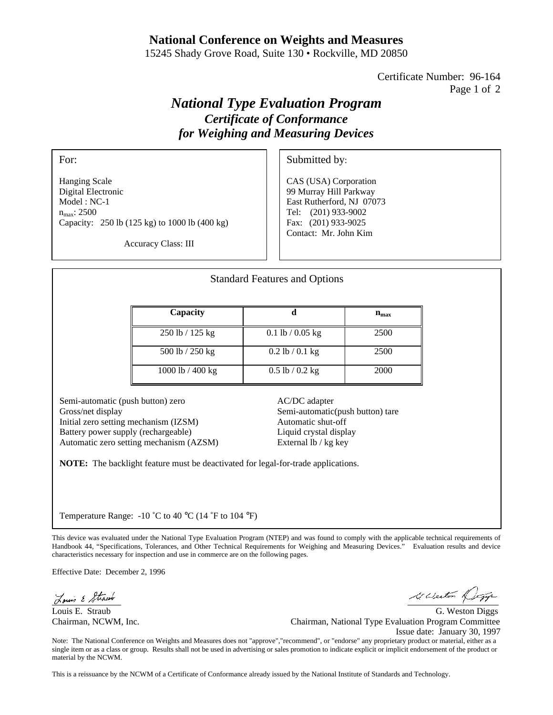## **National Conference on Weights and Measures**

15245 Shady Grove Road, Suite 130 • Rockville, MD 20850

Certificate Number: 96-164 Page 1 of 2

## *National Type Evaluation Program Certificate of Conformance for Weighing and Measuring Devices*

For:

Hanging Scale Digital Electronic Model : NC-1 n<sub>max</sub>: 2500 Capacity: 250 lb (125 kg) to 1000 lb (400 kg) Submitted by:

CAS (USA) Corporation 99 Murray Hill Parkway East Rutherford, NJ 07073 Tel: (201) 933-9002 Fax: (201) 933-9025 Contact: Mr. John Kim

Accuracy Class: III

| <b>Standard Features and Options</b> |                     |           |
|--------------------------------------|---------------------|-----------|
| Capacity                             | d                   | $n_{max}$ |
| 250 lb / 125 kg                      | $0.1$ lb / 0.05 kg  | 2500      |
| 500 lb / 250 kg                      | $0.2$ lb / $0.1$ kg | 2500      |
| 1000 lb / 400 kg                     | $0.5$ lb / $0.2$ kg | 2000      |

Semi-automatic (push button) zero Gross/net display Initial zero setting mechanism (IZSM) Battery power supply (rechargeable) Automatic zero setting mechanism (AZSM) AC/DC adapter Semi-automatic(push button) tare Automatic shut-off Liquid crystal display External lb / kg key

**NOTE:** The backlight feature must be deactivated for legal-for-trade applications.

Temperature Range:  $-10$  °C to 40 °C (14 °F to 104 °F)

characteristics necessary for inspection and use in commerce are on the following pages.

This device was evaluated under the National Type Evaluation Program (NTEP) and was found to comply with the applicable technical requirements of Handbook 44, "Specifications, Tolerances, and Other Technical Requirements for Weighing and Measuring Devices." Evaluation results and device characteristics necessary for inspection and use in commerce are on the following pages.

This device was evaluated under the National Type Evaluation Program (NTEP) and was found to comply with the applicable technical requirements of Handbook 44, "Specifications, Tolerances, and Other Technical Requirements for Weighing and Measuring Devices." Evaluation results and device

Effective Date: December 2, 1996

 $\ddot{\phantom{a}}$ 

Louis & Strawb

Louis E. Straub G. Weston Diggs

Ki Weston 14

Chairman, NCWM, Inc. Chairman, National Type Evaluation Program Committee Issue date: January 30, 1997

Note: The National Conference on Weights and Measures does not "approve","recommend", or "endorse" any proprietary product or material, either as a single item or as a class or group. Results shall not be used in advertising or sales promotion to indicate explicit or implicit endorsement of the product or material by the NCWM.

This is a reissuance by the NCWM of a Certificate of Conformance already issued by the National Institute of Standards and Technology.